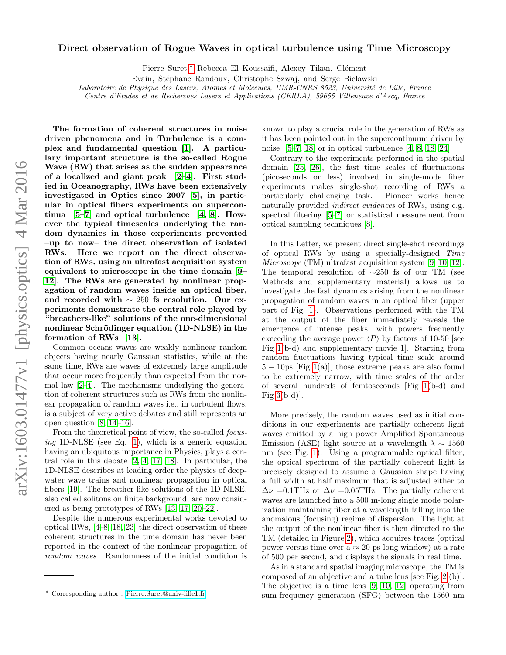## Direct observation of Rogue Waves in optical turbulence using Time Microscopy

Pierre Suret,\* Rebecca El Koussaifi, Alexey Tikan, Clément

Evain, Stéphane Randoux, Christophe Szwaj, and Serge Bielawski

Laboratoire de Physique des Lasers, Atomes et Molecules, UMR-CNRS 8523, Université de Lille, France

Centre d'Etudes et de Recherches Lasers et Applications (CERLA), 59655 Villeneuve d'Ascq, France

The formation of coherent structures in noise driven phenomena and in Turbulence is a complex and fundamental question [\[1\]](#page-5-0). A particulary important structure is the so-called Rogue Wave (RW) that arises as the sudden appearance of a localized and giant peak [\[2–](#page-5-1)[4\]](#page-5-2). First studied in Oceanography, RWs have been extensively investigated in Optics since 2007 [\[5\]](#page-5-3), in particular in optical fibers experiments on supercontinua  $[5-7]$  $[5-7]$  and optical turbulence  $[4, 8]$  $[4, 8]$ . However the typical timescales underlying the random dynamics in those experiments prevented –up to now– the direct observation of isolated RWs. Here we report on the direct observation of RWs, using an ultrafast acquisition system equivalent to microscope in the time domain [\[9–](#page-5-6) [12\]](#page-5-7). The RWs are generated by nonlinear propagation of random waves inside an optical fiber, and recorded with ∼ 250 fs resolution. Our experiments demonstrate the central role played by "breathers-like" solutions of the one-dimensional nonlinear Schrödinger equation (1D-NLSE) in the formation of RWs [\[13\]](#page-5-8).

Common oceans waves are weakly nonlinear random objects having nearly Gaussian statistics, while at the same time, RWs are waves of extremely large amplitude that occur more frequently than expected from the normal law [\[2](#page-5-1)[–4\]](#page-5-2). The mechanisms underlying the generation of coherent structures such as RWs from the nonlinear propagation of random waves i.e., in turbulent flows, is a subject of very active debates and still represents an open question [\[8,](#page-5-5) [14–](#page-5-9)[16\]](#page-6-0).

From the theoretical point of view, the so-called *focus*ing 1D-NLSE (see Eq. [1\)](#page-5-10), which is a generic equation having an ubiquitous importance in Physics, plays a central role in this debate [\[2,](#page-5-1) [4,](#page-5-2) [17,](#page-6-1) [18\]](#page-6-2). In particular, the 1D-NLSE describes at leading order the physics of deepwater wave trains and nonlinear propagation in optical fibers [\[19\]](#page-6-3). The breather-like solutions of the 1D-NLSE, also called solitons on finite background, are now considered as being prototypes of RWs [\[13,](#page-5-8) [17,](#page-6-1) [20](#page-6-4)[–22\]](#page-6-5).

Despite the numerous experimental works devoted to optical RWs, [\[4–](#page-5-2)[8,](#page-5-5) [18,](#page-6-2) [23\]](#page-6-6) the direct observation of these coherent structures in the time domain has never been reported in the context of the nonlinear propagation of random waves. Randomness of the initial condition is

known to play a crucial role in the generation of RWs as it has been pointed out in the supercontinuum driven by noise  $[5-7, 18]$  $[5-7, 18]$  $[5-7, 18]$  or in optical turbulence  $[4, 8, 18, 24]$  $[4, 8, 18, 24]$  $[4, 8, 18, 24]$  $[4, 8, 18, 24]$ 

Contrary to the experiments performed in the spatial domain [\[25,](#page-6-8) [26\]](#page-6-9), the fast time scales of fluctuations (picoseconds or less) involved in single-mode fiber experiments makes single-shot recording of RWs a particularly challenging task. Pioneer works hence naturally provided *indirect evidences* of RWs, using e.g. spectral filtering [\[5–](#page-5-3)[7\]](#page-5-4) or statistical measurement from optical sampling techniques [\[8\]](#page-5-5).

In this Letter, we present direct single-shot recordings of optical RWs by using a specially-designed Time Microscope (TM) ultrafast acquisition system [\[9,](#page-5-6) [10,](#page-5-11) [12\]](#page-5-7). The temporal resolution of ∼250 fs of our TM (see Methods and supplementary material) allows us to investigate the fast dynamics arising from the nonlinear propagation of random waves in an optical fiber (upper part of Fig. [1\)](#page-1-0). Observations performed with the TM at the output of the fiber immediately reveals the emergence of intense peaks, with powers frequently exceeding the average power  $\langle P \rangle$  by factors of 10-50 [see Fig [1\(](#page-1-0)b-d) and supplementary movie 1]. Starting from random fluctuations having typical time scale around  $5 - 10$ ps [Fig [1\(](#page-1-0)a)], those extreme peaks are also found to be extremely narrow, with time scales of the order of several hundreds of femtoseconds [Fig [1\(](#page-1-0)b-d) and Fig  $3(b-d)$ .

More precisely, the random waves used as initial conditions in our experiments are partially coherent light waves emitted by a high power Amplified Spontaneous Emission (ASE) light source at a wavelength  $\lambda \sim 1560$ nm (see Fig. [1\)](#page-1-0). Using a programmable optical filter, the optical spectrum of the partially coherent light is precisely designed to assume a Gaussian shape having a full width at half maximum that is adjusted either to  $\Delta \nu = 0.1$ THz or  $\Delta \nu = 0.05$ THz. The partially coherent waves are launched into a 500 m-long single mode polarization maintaining fiber at a wavelength falling into the anomalous (focusing) regime of dispersion. The light at the output of the nonlinear fiber is then directed to the TM (detailed in Figure [2\)](#page-2-0), which acquires traces (optical power versus time over a  $\approx 20$  ps-long window) at a rate of 500 per second, and displays the signals in real time.

As in a standard spatial imaging microscope, the TM is composed of an objective and a tube lens [see Fig. [2.](#page-2-0)(b)]. The objective is a time lens [\[9,](#page-5-6) [10,](#page-5-11) [12\]](#page-5-7) operating from sum-frequency generation (SFG) between the 1560 nm

<span id="page-0-0"></span><sup>∗</sup> Corresponding author : [Pierre.Suret@univ-lille1.fr](mailto:Pierre.Suret@univ-lille1.fr)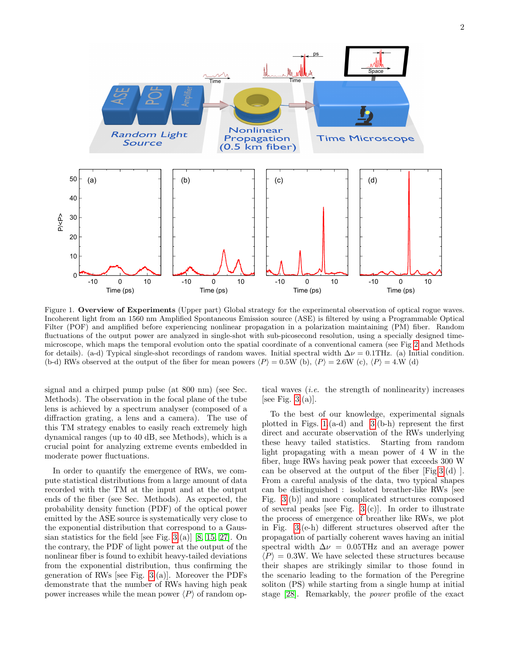

<span id="page-1-0"></span>Figure 1. Overview of Experiments (Upper part) Global strategy for the experimental observation of optical rogue waves. Incoherent light from an 1560 nm Amplified Spontaneous Emission source (ASE) is filtered by using a Programmable Optical Filter (POF) and amplified before experiencing nonlinear propagation in a polarization maintaining (PM) fiber. Random fluctuations of the output power are analyzed in single-shot with sub-picosecond resolution, using a specially designed timemicroscope, which maps the temporal evolution onto the spatial coordinate of a conventional camera (see Fig [2](#page-2-0) and Methods for details). (a-d) Typical single-shot recordings of random waves. Initial spectral width  $\Delta \nu = 0.1$ THz. (a) Initial condition. (b-d) RWs observed at the output of the fiber for mean powers  $\langle P \rangle = 0.5W$  (b),  $\langle P \rangle = 2.6W$  (c),  $\langle P \rangle = 4.W$  (d)

signal and a chirped pump pulse (at 800 nm) (see Sec. Methods). The observation in the focal plane of the tube lens is achieved by a spectrum analyser (composed of a diffraction grating, a lens and a camera). The use of this TM strategy enables to easily reach extremely high dynamical ranges (up to 40 dB, see Methods), which is a crucial point for analyzing extreme events embedded in moderate power fluctuations.

In order to quantify the emergence of RWs, we compute statistical distributions from a large amount of data recorded with the TM at the input and at the output ends of the fiber (see Sec. Methods). As expected, the probability density function (PDF) of the optical power emitted by the ASE source is systematically very close to the exponential distribution that correspond to a Gaus-sian statistics for the field [see Fig. [3.](#page-3-0)(a)] [\[8,](#page-5-5) [15,](#page-6-10) [27\]](#page-6-11). On the contrary, the PDF of light power at the output of the nonlinear fiber is found to exhibit heavy-tailed deviations from the exponential distribution, thus confirming the generation of RWs [see Fig. [3.](#page-3-0)(a)]. Moreover the PDFs demonstrate that the number of RWs having high peak power increases while the mean power  $\langle P \rangle$  of random optical waves  $(i.e.$  the strength of nonlinearity) increases [see Fig.  $3.(a)$ ].

To the best of our knowledge, experimental signals plotted in Figs.  $1.(a-d)$  and  $3.(b-h)$  represent the first direct and accurate observation of the RWs underlying these heavy tailed statistics. Starting from random light propagating with a mean power of 4 W in the fiber, huge RWs having peak power that exceeds 300 W can be observed at the output of the fiber [Fig[.3.](#page-3-0)(d) ]. From a careful analysis of the data, two typical shapes can be distinguished : isolated breather-like RWs [see Fig. [3.](#page-3-0)(b)] and more complicated structures composed of several peaks [see Fig. [3.](#page-3-0)(c)]. In order to illustrate the process of emergence of breather like RWs, we plot in Fig. [3.](#page-3-0)(e-h) different structures observed after the propagation of partially coherent waves having an initial spectral width  $\Delta \nu = 0.05$ THz and an average power  $\langle P \rangle = 0.3W$ . We have selected these structures because their shapes are strikingly similar to those found in the scenario leading to the formation of the Peregrine soliton (PS) while starting from a single hump at initial stage [\[28\]](#page-6-12). Remarkably, the power profile of the exact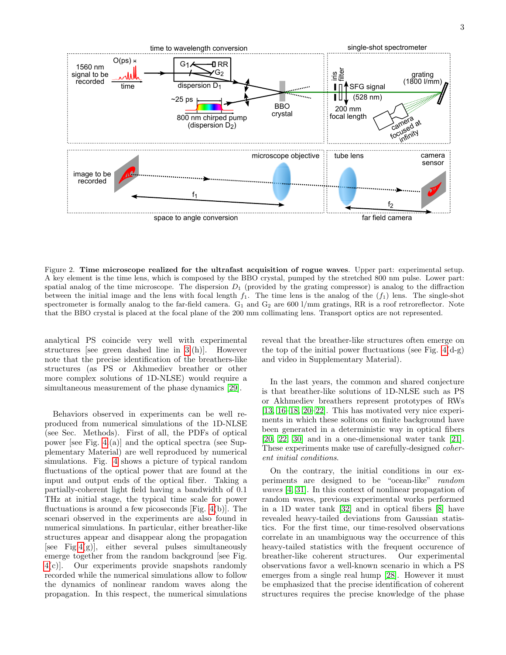

<span id="page-2-0"></span>Figure 2. Time microscope realized for the ultrafast acquisition of rogue waves. Upper part: experimental setup. A key element is the time lens, which is composed by the BBO crystal, pumped by the stretched 800 nm pulse. Lower part: spatial analog of the time microscope. The dispersion  $D_1$  (provided by the grating compressor) is analog to the diffraction between the initial image and the lens with focal length  $f_1$ . The time lens is the analog of the  $(f_1)$  lens. The single-shot spectrometer is formally analog to the far-field camera.  $G_1$  and  $G_2$  are 600 l/mm gratings, RR is a roof retroreflector. Note that the BBO crystal is placed at the focal plane of the 200 mm collimating lens. Transport optics are not represented.

analytical PS coincide very well with experimental structures [see green dashed line in [3.](#page-3-0)(h)]. However note that the precise identification of the breathers-like structures (as PS or Akhmediev breather or other more complex solutions of 1D-NLSE) would require a simultaneous measurement of the phase dynamics [\[29\]](#page-6-13).

Behaviors observed in experiments can be well reproduced from numerical simulations of the 1D-NLSE (see Sec. Methods). First of all, the PDFs of optical power [see Fig. [4.](#page-4-0)(a)] and the optical spectra (see Supplementary Material) are well reproduced by numerical simulations. Fig. [4](#page-4-0) shows a picture of typical random fluctuations of the optical power that are found at the input and output ends of the optical fiber. Taking a partially-coherent light field having a bandwidth of 0.1 THz at initial stage, the typical time scale for power fluctuations is around a few picoseconds [Fig. [4\(](#page-4-0)b)]. The scenari observed in the experiments are also found in numerical simulations. In particular, either breather-like structures appear and disappear along the propagation [see Fig[.4\(](#page-4-0)g)], either several pulses simultaneously emerge together from the random background [see Fig. [4\(](#page-4-0)c)]. Our experiments provide snapshots randomly recorded while the numerical simulations allow to follow the dynamics of nonlinear random waves along the propagation. In this respect, the numerical simulations

reveal that the breather-like structures often emerge on the top of the initial power fluctuations (see Fig.  $4(d-g)$ ) and video in Supplementary Material).

In the last years, the common and shared conjecture is that breather-like solutions of 1D-NLSE such as PS or Akhmediev breathers represent prototypes of RWs [\[13,](#page-5-8) [16–](#page-6-0)[18,](#page-6-2) [20–](#page-6-4)[22\]](#page-6-5). This has motivated very nice experiments in which these solitons on finite background have been generated in a deterministic way in optical fibers [\[20,](#page-6-4) [22,](#page-6-5) [30\]](#page-6-14) and in a one-dimensional water tank [\[21\]](#page-6-15). These experiments make use of carefully-designed coherent initial conditions.

On the contrary, the initial conditions in our experiments are designed to be "ocean-like" random waves [\[4,](#page-5-2) [31\]](#page-6-16). In this context of nonlinear propagation of random waves, previous experimental works performed in a 1D water tank [\[32\]](#page-6-17) and in optical fibers [\[8\]](#page-5-5) have revealed heavy-tailed deviations from Gaussian statistics. For the first time, our time-resolved observations correlate in an unambiguous way the occurrence of this heavy-tailed statistics with the frequent occurence of breather-like coherent structures. Our experimental observations favor a well-known scenario in which a PS emerges from a single real hump [\[28\]](#page-6-12). However it must be emphasized that the precise identification of coherent structures requires the precise knowledge of the phase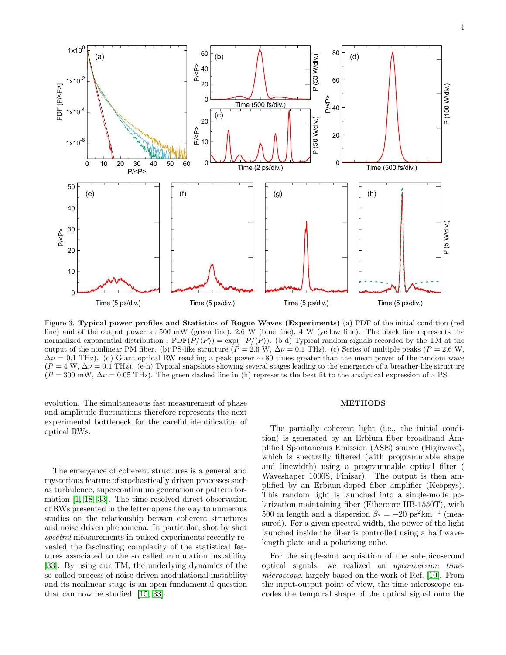

<span id="page-3-0"></span>Figure 3. Typical power profiles and Statistics of Rogue Waves (Experiments) (a) PDF of the initial condition (red line) and of the output power at 500 mW (green line), 2.6 W (blue line), 4 W (yellow line). The black line represents the normalized exponential distribution :  $PDF(P/\langle P \rangle) = \exp(-P/\langle P \rangle)$ . (b-d) Typical random signals recorded by the TM at the output of the nonlinear PM fiber. (b) PS-like structure ( $P = 2.6$  W,  $\Delta \nu = 0.1$  THz). (c) Series of multiple peaks ( $P = 2.6$  W,  $\Delta \nu = 0.1$  THz). (d) Giant optical RW reaching a peak power  $\sim 80$  times greater than the mean power of the random wave  $(P = 4 \text{ W}, \Delta \nu = 0.1 \text{ THz})$ . (e-h) Typical snapshots showing several stages leading to the emergence of a breather-like structure  $(P = 300 \text{ mW}, \Delta \nu = 0.05 \text{ THz})$ . The green dashed line in (h) represents the best fit to the analytical expression of a PS.

evolution. The simultaneaous fast measurement of phase and amplitude fluctuations therefore represents the next experimental bottleneck for the careful identification of optical RWs.

The emergence of coherent structures is a general and mysterious feature of stochastically driven processes such as turbulence, supercontinuum generation or pattern formation [\[1,](#page-5-0) [18,](#page-6-2) [33\]](#page-6-18). The time-resolved direct observation of RWs presented in the letter opens the way to numerous studies on the relationship betwen coherent structures and noise driven phenomena. In particular, shot by shot spectral measurements in pulsed experiments recently revealed the fascinating complexity of the statistical features associated to the so called modulation instability [\[33\]](#page-6-18). By using our TM, the underlying dynamics of the so-called process of noise-driven modulational instability and its nonlinear stage is an open fundamental question that can now be studied [\[15,](#page-6-10) [33\]](#page-6-18).

## METHODS

The partially coherent light (i.e., the initial condition) is generated by an Erbium fiber broadband Amplified Spontaneous Emission (ASE) source (Highwave), which is spectrally filtered (with programmable shape and linewidth) using a programmable optical filter ( Waveshaper 1000S, Finisar). The output is then amplified by an Erbium-doped fiber amplifier (Keopsys). This random light is launched into a single-mode polarization maintaining fiber (Fibercore HB-1550T), with 500 m length and a dispersion  $\beta_2 = -20 \text{ ps}^2 \text{km}^{-1}$  (measured). For a given spectral width, the power of the light launched inside the fiber is controlled using a half wavelength plate and a polarizing cube.

For the single-shot acquisition of the sub-picosecond optical signals, we realized an upconversion timemicroscope, largely based on the work of Ref. [\[10\]](#page-5-11). From the input-output point of view, the time microscope encodes the temporal shape of the optical signal onto the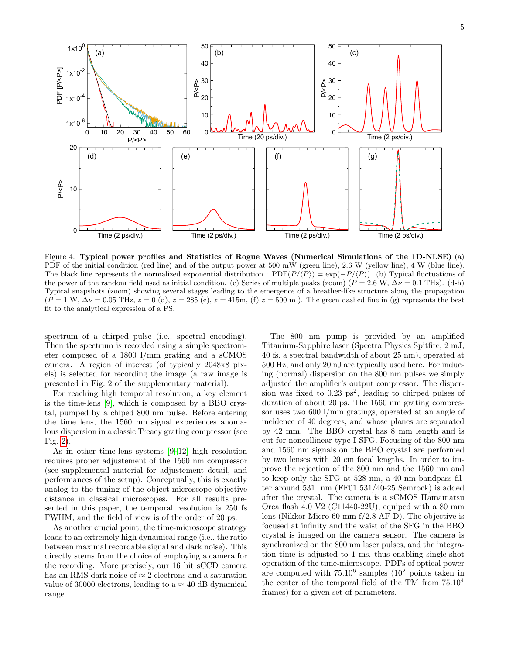

<span id="page-4-0"></span>Figure 4. Typical power profiles and Statistics of Rogue Waves (Numerical Simulations of the 1D-NLSE) (a) PDF of the initial condition (red line) and of the output power at 500 mW (green line), 2.6 W (yellow line), 4 W (blue line). The black line represents the normalized exponential distribution :  $PDF(P/(P)) = \exp(-P/(P))$ . (b) Typical fluctuations of the power of the random field used as initial condition. (c) Series of multiple peaks (zoom) ( $P = 2.6$  W,  $\Delta \nu = 0.1$  THz). (d-h) Typical snapshots (zoom) showing several stages leading to the emergence of a breather-like structure along the propagation  $(P = 1 \text{ W}, \Delta \nu = 0.05 \text{ THz}, z = 0 \text{ (d)}, z = 285 \text{ (e)}, z = 415 \text{m}, \text{ (f)} z = 500 \text{ m}.$  The green dashed line in (g) represents the best fit to the analytical expression of a PS.

spectrum of a chirped pulse (i.e., spectral encoding). Then the spectrum is recorded using a simple spectrometer composed of a 1800 l/mm grating and a sCMOS camera. A region of interest (of typically 2048x8 pixels) is selected for recording the image (a raw image is presented in Fig. 2 of the supplementary material).

For reaching high temporal resolution, a key element is the time-lens [\[9\]](#page-5-6), which is composed by a BBO crystal, pumped by a chiped 800 nm pulse. Before entering the time lens, the 1560 nm signal experiences anomalous dispersion in a classic Treacy grating compressor (see Fig. [2\)](#page-2-0).

As in other time-lens systems [\[9–](#page-5-6)[12\]](#page-5-7) high resolution requires proper adjustement of the 1560 nm compressor (see supplemental material for adjustement detail, and performances of the setup). Conceptually, this is exactly analog to the tuning of the object-microscope objective distance in classical microscopes. For all results presented in this paper, the temporal resolution is 250 fs FWHM, and the field of view is of the order of 20 ps.

As another crucial point, the time-microscope strategy leads to an extremely high dynamical range (i.e., the ratio between maximal recordable signal and dark noise). This directly stems from the choice of employing a camera for the recording. More precisely, our 16 bit sCCD camera has an RMS dark noise of  $\approx 2$  electrons and a saturation value of 30000 electrons, leading to a  $\approx$  40 dB dynamical range.

The 800 nm pump is provided by an amplified Titanium-Sapphire laser (Spectra Physics Spitfire, 2 mJ, 40 fs, a spectral bandwidth of about 25 nm), operated at 500 Hz, and only 20 nJ are typically used here. For inducing (normal) dispersion on the 800 nm pulses we simply adjusted the amplifier's output compressor. The dispersion was fixed to  $0.23 \text{ ps}^2$ , leading to chirped pulses of duration of about 20 ps. The 1560 nm grating compressor uses two 600 l/mm gratings, operated at an angle of incidence of 40 degrees, and whose planes are separated by 42 mm. The BBO crystal has 8 mm length and is cut for noncollinear type-I SFG. Focusing of the 800 nm and 1560 nm signals on the BBO crystal are performed by two lenses with 20 cm focal lengths. In order to improve the rejection of the 800 nm and the 1560 nm and to keep only the SFG at 528 nm, a 40-nm bandpass filter around 531 nm (FF01 531/40-25 Semrock) is added after the crystal. The camera is a sCMOS Hamamatsu Orca flash 4.0 V2 (C11440-22U), equiped with a 80 mm lens (Nikkor Micro 60 mm f/2.8 AF-D). The objective is focused at infinity and the waist of the SFG in the BBO crystal is imaged on the camera sensor. The camera is synchronized on the 800 nm laser pulses, and the integration time is adjusted to 1 ms, thus enabling single-shot operation of the time-microscope. PDFs of optical power are computed with  $75.10^6$  samples  $(10^2$  points taken in the center of the temporal field of the TM from 75.10<sup>4</sup> frames) for a given set of parameters.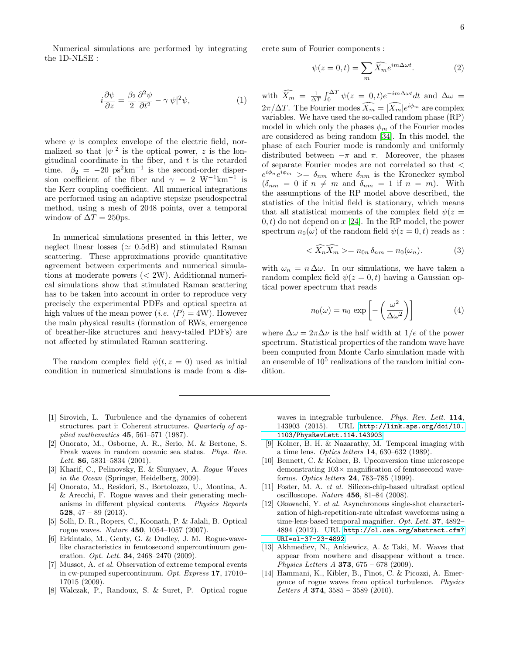Numerical simulations are performed by integrating the 1D-NLSE :

<span id="page-5-10"></span>
$$
i\frac{\partial\psi}{\partial z} = \frac{\beta_2}{2}\frac{\partial^2\psi}{\partial t^2} - \gamma|\psi|^2\psi,\tag{1}
$$

where  $\psi$  is complex envelope of the electric field, normalized so that  $|\psi|^2$  is the optical power, z is the longitudinal coordinate in the fiber, and  $t$  is the retarded time.  $\beta_2 = -20 \text{ ps}^2 \text{km}^{-1}$  is the second-order dispersion coefficient of the fiber and  $\gamma = 2$  W<sup>-1</sup>km<sup>-1</sup> is the Kerr coupling coefficient. All numerical integrations are performed using an adaptive stepsize pseudospectral method, using a mesh of 2048 points, over a temporal window of  $\Delta T = 250$ ps.

In numerical simulations presented in this letter, we neglect linear losses ( $\simeq$  0.5dB) and stimulated Raman scattering. These approximations provide quantitative agreement between experiments and numerical simulations at moderate powers (< 2W). Additionnal numerical simulations show that stimulated Raman scattering has to be taken into account in order to reproduce very precisely the experimental PDFs and optical spectra at high values of the mean power (*i.e.*  $\langle P \rangle = 4W$ ). However the main physical results (formation of RWs, emergence of breather-like structures and heavy-tailed PDFs) are not affected by stimulated Raman scattering.

The random complex field  $\psi(t, z = 0)$  used as initial condition in numerical simulations is made from a discrete sum of Fourier components :

$$
\psi(z=0,t) = \sum_{m} \widehat{X_m} e^{im\Delta\omega t}.
$$
 (2)

with  $\widehat{X_m} = \frac{1}{\Delta T} \int_0^{\Delta T} \psi(z = 0, t) e^{-im\Delta \omega t} dt$  and  $\Delta \omega =$  $2\pi/\Delta T$ . The Fourier modes  $\widehat{X_m} = |\widehat{X_m}|e^{i\phi_m}$  are complex variables. We have used the so-called random phase (RP) model in which only the phases  $\phi_m$  of the Fourier modes are considered as being random [\[34\]](#page-6-19). In this model, the phase of each Fourier mode is randomly and uniformly distributed between  $-\pi$  and  $\pi$ . Moreover, the phases of separate Fourier modes are not correlated so that <  $e^{i\phi_n}e^{i\phi_m}$  >=  $\delta_{nm}$  where  $\delta_{nm}$  is the Kronecker symbol  $(\delta_{nm} = 0 \text{ if } n \neq m \text{ and } \delta_{nm} = 1 \text{ if } n = m).$  With the assumptions of the RP model above described, the statistics of the initial field is stationary, which means that all statistical moments of the complex field  $\psi(z)$  $(0, t)$  do not depend on x [\[24\]](#page-6-7). In the RP model, the power spectrum  $n_0(\omega)$  of the random field  $\psi(z=0,t)$  reads as :

$$
\langle \widehat{X}_n \widehat{X}_m \rangle = n_{0n} \, \delta_{nm} = n_0(\omega_n). \tag{3}
$$

with  $\omega_n = n \Delta \omega$ . In our simulations, we have taken a random complex field  $\psi(z=0,t)$  having a Gaussian optical power spectrum that reads

$$
n_0(\omega) = n_0 \exp\left[-\left(\frac{\omega^2}{\Delta\omega^2}\right)\right]
$$
 (4)

where  $\Delta \omega = 2\pi \Delta \nu$  is the half width at 1/e of the power spectrum. Statistical properties of the random wave have been computed from Monte Carlo simulation made with an ensemble of  $10^5$  realizations of the random initial condition.

- <span id="page-5-0"></span>[1] Sirovich, L. Turbulence and the dynamics of coherent structures. part i: Coherent structures. Quarterly of applied mathematics 45, 561–571 (1987).
- <span id="page-5-1"></span>[2] Onorato, M., Osborne, A. R., Serio, M. & Bertone, S. Freak waves in random oceanic sea states. Phys. Rev. Lett. 86, 5831–5834  $(2001)$ .
- [3] Kharif, C., Pelinovsky, E. & Slunyaev, A. Rogue Waves in the Ocean (Springer, Heidelberg, 2009).
- <span id="page-5-2"></span>[4] Onorato, M., Residori, S., Bortolozzo, U., Montina, A. & Arecchi, F. Rogue waves and their generating mechanisms in different physical contexts. Physics Reports 528,  $47 - 89$  (2013).
- <span id="page-5-3"></span>[5] Solli, D. R., Ropers, C., Koonath, P. & Jalali, B. Optical rogue waves. Nature 450, 1054–1057 (2007).
- [6] Erkintalo, M., Genty, G. & Dudley, J. M. Rogue-wavelike characteristics in femtosecond supercontinuum generation. *Opt. Lett.* **34**, 2468-2470 (2009).
- <span id="page-5-4"></span>[7] Mussot, A. et al. Observation of extreme temporal events in cw-pumped supercontinuum. Opt. Express 17, 17010– 17015 (2009).
- <span id="page-5-5"></span>[8] Walczak, P., Randoux, S. & Suret, P. Optical rogue

waves in integrable turbulence. Phys. Rev. Lett. 114, 143903 (2015). URL [http://link.aps.org/doi/10.](http://link.aps.org/doi/10.1103/PhysRevLett.114.143903) [1103/PhysRevLett.114.143903](http://link.aps.org/doi/10.1103/PhysRevLett.114.143903).

- <span id="page-5-6"></span>[9] Kolner, B. H. & Nazarathy, M. Temporal imaging with a time lens. Optics letters 14, 630–632 (1989).
- <span id="page-5-11"></span>[10] Bennett, C. & Kolner, B. Upconversion time microscope demonstrating  $103\times$  magnification of femtosecond waveforms. Optics letters 24, 783–785 (1999).
- [11] Foster, M. A. et al. Silicon-chip-based ultrafast optical oscilloscope. Nature 456, 81–84 (2008).
- <span id="page-5-7"></span>[12] Okawachi, Y. et al. Asynchronous single-shot characterization of high-repetition-rate ultrafast waveforms using a time-lens-based temporal magnifier. Opt. Lett. **37**, 4892– 4894 (2012). URL [http://ol.osa.org/abstract.cfm?](http://ol.osa.org/abstract.cfm?URI=ol-37-23-4892) [URI=ol-37-23-4892](http://ol.osa.org/abstract.cfm?URI=ol-37-23-4892).
- <span id="page-5-8"></span>[13] Akhmediev, N., Ankiewicz, A. & Taki, M. Waves that appear from nowhere and disappear without a trace. Physics Letters A 373,  $675 - 678$  (2009).
- <span id="page-5-9"></span>[14] Hammani, K., Kibler, B., Finot, C. & Picozzi, A. Emergence of rogue waves from optical turbulence. Physics Letters  $A$  374, 3585 – 3589 (2010).